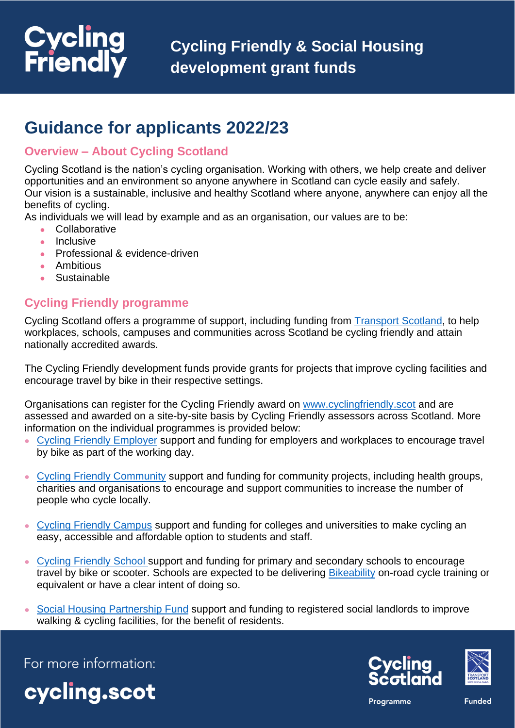# **Cycling**<br>Friendly

# **Guidance for applicants 2022/23**

# **Overview – About Cycling Scotland**

Cycling Scotland is the nation's cycling organisation. Working with others, we help create and deliver opportunities and an environment so anyone anywhere in Scotland can cycle easily and safely. Our vision is a sustainable, inclusive and healthy Scotland where anyone, anywhere can enjoy all the benefits of cycling.

As individuals we will lead by example and as an organisation, our values are to be:

- Collaborative
- Inclusive
- Professional & evidence-driven
- Ambitious
- Sustainable

# **Cycling Friendly programme**

Cycling Scotland offers a programme of support, including funding from **Transport Scotland**, to help workplaces, schools, campuses and communities across Scotland be cycling friendly and attain nationally accredited awards.

The Cycling Friendly development funds provide grants for projects that improve cycling facilities and encourage travel by bike in their respective settings.

Organisations can register for the Cycling Friendly award on [www.cyclingfriendly.scot](http://www.cyclingfriendly.scot/) and are assessed and awarded on a site-by-site basis by Cycling Friendly assessors across Scotland. More information on the individual programmes is provided below:

- [Cycling Friendly Employer](https://www.cycling.scot/our-programmes/cycle-friendly/employer) support and funding for employers and workplaces to encourage travel by bike as part of the working day.
- [Cycling Friendly Community](https://www.cycling.scot/our-programmes/cycle-friendly/community) support and funding for community projects, including health groups, charities and organisations to encourage and support communities to increase the number of people who cycle locally.
- [Cycling Friendly Campus](https://www.cycling.scot/our-programmes/cycle-friendly/campus) support and funding for colleges and universities to make cycling an easy, accessible and affordable option to students and staff.
- [Cycling Friendly School](https://www.cycling.scot/our-programmes/cycle-friendly/secondary-school) support and funding for primary and secondary schools to encourage travel by bike or scooter. Schools are expected to be delivering [Bikeability](https://www.cycling.scot/bikeability-scotland) on-road cycle training or equivalent or have a clear intent of doing so.
- [Social Housing](https://www.cycling.scot/our-programmes/cycle-friendly/social-housing-fund) Partnership Fund support and funding to registered social landlords to improve walking & cycling facilities, for the benefit of residents.

For more information:







Programme

**Funded**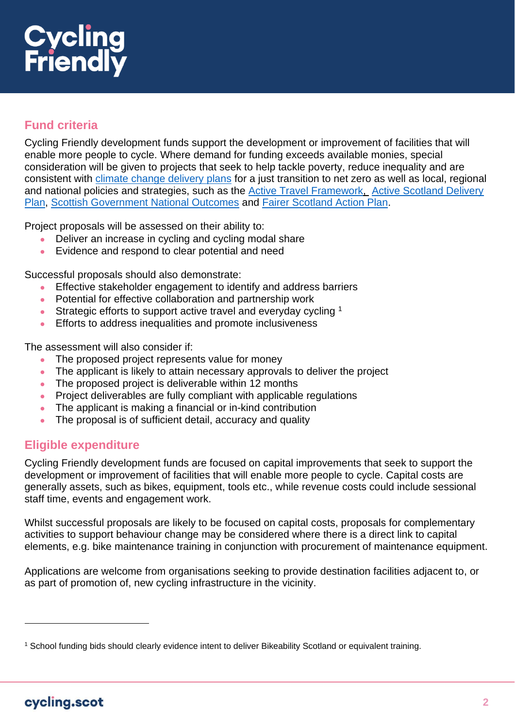# **Cycling<br>Friendly**

# **Fund criteria**

Cycling Friendly development funds support the development or improvement of facilities that will enable more people to cycle. Where demand for funding exceeds available monies, special consideration will be given to projects that seek to help tackle poverty, reduce inequality and are consistent with [climate change delivery plans](https://www.gov.scot/publications/securing-green-recovery-path-net-zero-update-climate-change-plan-20182032/pages/9/) for a just transition to net zero as well as local, regional and national policies and strategies, such as the [Active Travel Framework,](https://www.transport.gov.scot/media/46400/sct09190900361.pdf) [Active Scotland Delivery](https://www.gov.scot/publications/active-scotland-delivery-plan/)  [Plan,](https://www.gov.scot/publications/active-scotland-delivery-plan/) [Scottish Government National Outcomes](http://www.gov.scot/About/Performance/scotPerforms/outcomes) and [Fairer Scotland Action Plan.](https://www.gov.scot/publications/fairer-scotland-action-plan/)

Project proposals will be assessed on their ability to:

- Deliver an increase in cycling and cycling modal share
- Evidence and respond to clear potential and need

Successful proposals should also demonstrate:

- Effective stakeholder engagement to identify and address barriers
- Potential for effective collaboration and partnership work
- Strategic efforts to support active travel and everyday cycling  $1$
- Efforts to address inequalities and promote inclusiveness

The assessment will also consider if:

- The proposed project represents value for money
- The applicant is likely to attain necessary approvals to deliver the project
- The proposed project is deliverable within 12 months
- Project deliverables are fully compliant with applicable regulations
- The applicant is making a financial or in-kind contribution
- The proposal is of sufficient detail, accuracy and quality

### **Eligible expenditure**

Cycling Friendly development funds are focused on capital improvements that seek to support the development or improvement of facilities that will enable more people to cycle. Capital costs are generally assets, such as bikes, equipment, tools etc., while revenue costs could include sessional staff time, events and engagement work.

Whilst successful proposals are likely to be focused on capital costs, proposals for complementary activities to support behaviour change may be considered where there is a direct link to capital elements, e.g. bike maintenance training in conjunction with procurement of maintenance equipment.

Applications are welcome from organisations seeking to provide destination facilities adjacent to, or as part of promotion of, new cycling infrastructure in the vicinity.

<sup>1</sup> School funding bids should clearly evidence intent to deliver Bikeability Scotland or equivalent training.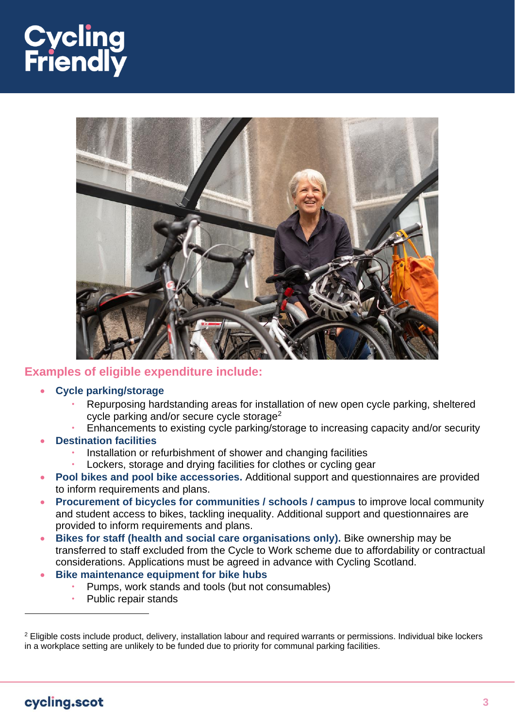# **Cycling<br>Friendly**



#### **Examples of eligible expenditure include:**

- **Cycle parking/storage**
	- Repurposing hardstanding areas for installation of new open cycle parking, sheltered cycle parking and/or secure cycle storage<sup>2</sup>
	- Enhancements to existing cycle parking/storage to increasing capacity and/or security
- **Destination facilities**
	- Installation or refurbishment of shower and changing facilities
	- Lockers, storage and drying facilities for clothes or cycling gear
- **Pool bikes and pool bike accessories.** Additional support and questionnaires are provided to inform requirements and plans.
- **Procurement of bicycles for communities / schools / campus** to improve local community and student access to bikes, tackling inequality. Additional support and questionnaires are provided to inform requirements and plans.
- **Bikes for staff (health and social care organisations only).** Bike ownership may be transferred to staff excluded from the Cycle to Work scheme due to affordability or contractual considerations. Applications must be agreed in advance with Cycling Scotland.
- **Bike maintenance equipment for bike hubs**
	- Pumps, work stands and tools (but not consumables)
	- Public repair stands

<sup>&</sup>lt;sup>2</sup> Eligible costs include product, delivery, installation labour and required warrants or permissions. Individual bike lockers in a workplace setting are unlikely to be funded due to priority for communal parking facilities.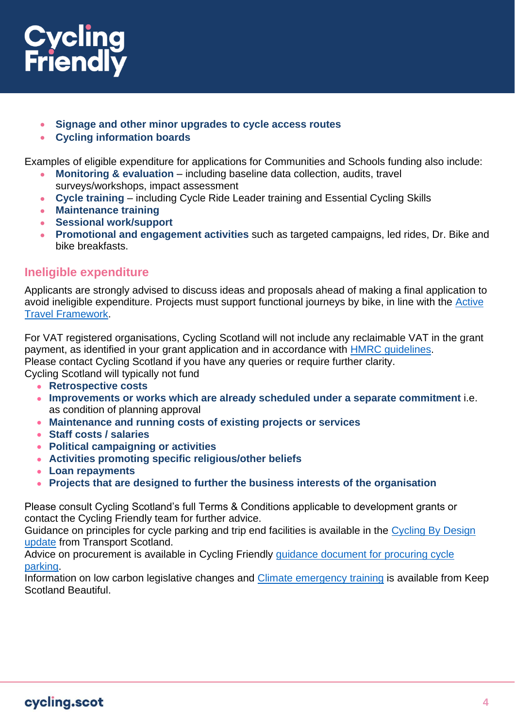

- **Signage and other minor upgrades to cycle access routes**
- **Cycling information boards**

Examples of eligible expenditure for applications for Communities and Schools funding also include:

- **Monitoring & evaluation** including baseline data collection, audits, travel surveys/workshops, impact assessment
- **Cycle training** including Cycle Ride Leader training and Essential Cycling Skills
- **Maintenance training**
- **Sessional work/support**
- **Promotional and engagement activities** such as targeted campaigns, led rides, Dr. Bike and bike breakfasts.

#### **Ineligible expenditure**

Applicants are strongly advised to discuss ideas and proposals ahead of making a final application to avoid ineligible expenditure. Projects must support functional journeys by bike, in line with the [Active](https://www.transport.gov.scot/media/46400/sct09190900361.pdf)  [Travel Framework.](https://www.transport.gov.scot/media/46400/sct09190900361.pdf)

For VAT registered organisations, Cycling Scotland will not include any reclaimable VAT in the grant payment, as identified in your grant application and in accordance with [HMRC guidelines.](https://www.gov.uk/government/organisations/hm-revenue-customs) Please contact Cycling Scotland if you have any queries or require further clarity.

Cycling Scotland will typically not fund

- **Retrospective costs**
- **Improvements or works which are already scheduled under a separate commitment** i.e. as condition of planning approval
- **Maintenance and running costs of existing projects or services**
- **Staff costs / salaries**
- **Political campaigning or activities**
- **Activities promoting specific religious/other beliefs**
- **Loan repayments**
- **Projects that are designed to further the business interests of the organisation**

Please consult Cycling Scotland's full Terms & Conditions applicable to development grants or contact the Cycling Friendly team for further advice.

Guidance on principles for cycle parking and trip end facilities is available in the [Cycling By Design](https://www.transport.gov.scot/media/50323/cycling-by-design-update-2019-final-document-15-september-2021-1.pdf)  [update](https://www.transport.gov.scot/media/50323/cycling-by-design-update-2019-final-document-15-september-2021-1.pdf) from Transport Scotland.

Advice on procurement is available in Cycling Friendly [guidance document for procuring cycle](https://www.cycling.scot/mediaLibrary/other/english/9288.pdf)  [parking.](https://www.cycling.scot/mediaLibrary/other/english/9288.pdf)

Information on low carbon legislative changes and [Climate emergency training](https://www.keepscotlandbeautiful.org/climate-change/climate-change/) is available from Keep Scotland Beautiful.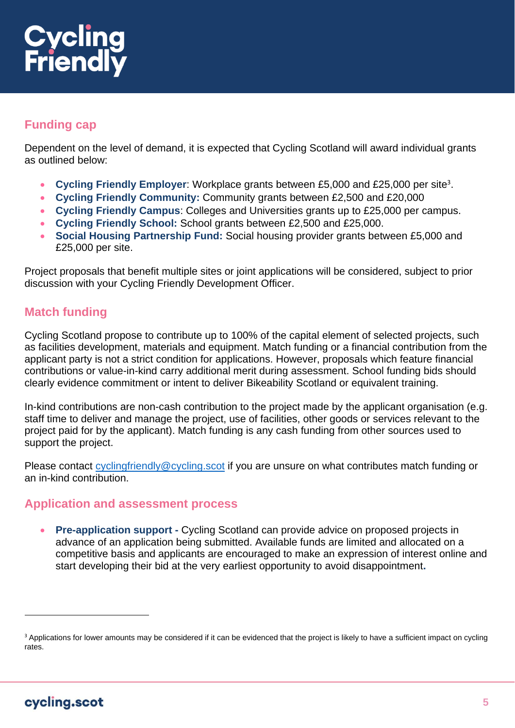

# **Funding cap**

Dependent on the level of demand, it is expected that Cycling Scotland will award individual grants as outlined below:

- Cycling Friendly Employer: Workplace grants between £5,000 and £25,000 per site<sup>3</sup>.
- **Cycling Friendly Community:** Community grants between £2,500 and £20,000
- **Cycling Friendly Campus**: Colleges and Universities grants up to £25,000 per campus.
- **Cycling Friendly School:** School grants between £2,500 and £25,000.
- **Social Housing Partnership Fund:** Social housing provider grants between £5,000 and £25,000 per site.

Project proposals that benefit multiple sites or joint applications will be considered, subject to prior discussion with your Cycling Friendly Development Officer.

### **Match funding**

Cycling Scotland propose to contribute up to 100% of the capital element of selected projects, such as facilities development, materials and equipment. Match funding or a financial contribution from the applicant party is not a strict condition for applications. However, proposals which feature financial contributions or value-in-kind carry additional merit during assessment. School funding bids should clearly evidence commitment or intent to deliver Bikeability Scotland or equivalent training.

In-kind contributions are non-cash contribution to the project made by the applicant organisation (e.g. staff time to deliver and manage the project, use of facilities, other goods or services relevant to the project paid for by the applicant). Match funding is any cash funding from other sources used to support the project.

Please contact [cyclingfriendly@cycling.scot](mailto:cyclingfriendly@cycling.scot) if you are unsure on what contributes match funding or an in-kind contribution.

#### **Application and assessment process**

• **Pre-application support -** Cycling Scotland can provide advice on proposed projects in advance of an application being submitted. Available funds are limited and allocated on a competitive basis and applicants are encouraged to make an expression of interest online and start developing their bid at the very earliest opportunity to avoid disappointment**.**

<sup>&</sup>lt;sup>3</sup> Applications for lower amounts may be considered if it can be evidenced that the project is likely to have a sufficient impact on cycling rates.